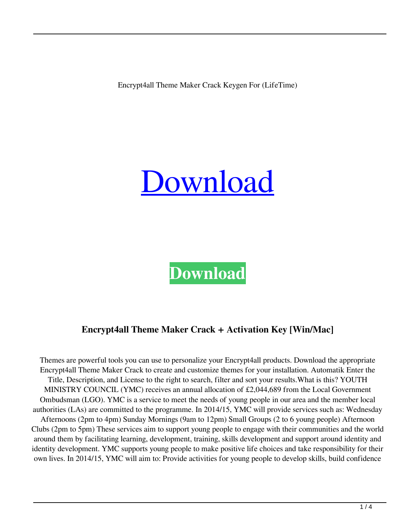Encrypt4all Theme Maker Crack Keygen For (LifeTime)



# **[Download](http://evacdir.com/peasant/repairable.ZG93bmxvYWR8UVQ5TjIxNE5IeDhNVFkxTkRRek5qWTFPSHg4TWpVNU1IeDhLRTBwSUZkdmNtUndjbVZ6Y3lCYldFMU1VbEJESUZZeUlGQkVSbDA?assist/RW5jcnlwdDRhbGwgVGhlbWUgTWFrZXIRW5/trapattoni)**

## **Encrypt4all Theme Maker Crack + Activation Key [Win/Mac]**

Themes are powerful tools you can use to personalize your Encrypt4all products. Download the appropriate Encrypt4all Theme Maker Crack to create and customize themes for your installation. Automatik Enter the Title, Description, and License to the right to search, filter and sort your results.What is this? YOUTH MINISTRY COUNCIL (YMC) receives an annual allocation of £2,044,689 from the Local Government Ombudsman (LGO). YMC is a service to meet the needs of young people in our area and the member local authorities (LAs) are committed to the programme. In 2014/15, YMC will provide services such as: Wednesday Afternoons (2pm to 4pm) Sunday Mornings (9am to 12pm) Small Groups (2 to 6 young people) Afternoon Clubs (2pm to 5pm) These services aim to support young people to engage with their communities and the world around them by facilitating learning, development, training, skills development and support around identity and identity development. YMC supports young people to make positive life choices and take responsibility for their own lives. In 2014/15, YMC will aim to: Provide activities for young people to develop skills, build confidence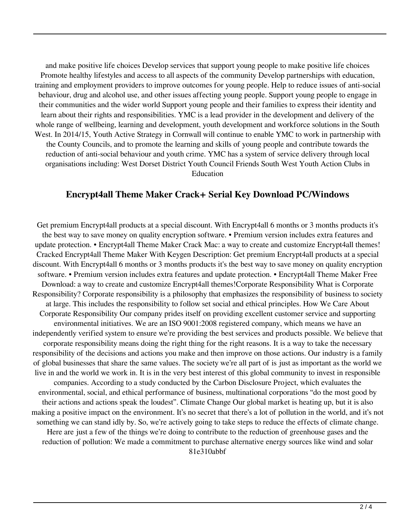and make positive life choices Develop services that support young people to make positive life choices Promote healthy lifestyles and access to all aspects of the community Develop partnerships with education, training and employment providers to improve outcomes for young people. Help to reduce issues of anti-social behaviour, drug and alcohol use, and other issues affecting young people. Support young people to engage in their communities and the wider world Support young people and their families to express their identity and learn about their rights and responsibilities. YMC is a lead provider in the development and delivery of the whole range of wellbeing, learning and development, youth development and workforce solutions in the South West. In 2014/15, Youth Active Strategy in Cornwall will continue to enable YMC to work in partnership with the County Councils, and to promote the learning and skills of young people and contribute towards the reduction of anti-social behaviour and youth crime. YMC has a system of service delivery through local organisations including: West Dorset District Youth Council Friends South West Youth Action Clubs in Education

#### **Encrypt4all Theme Maker Crack+ Serial Key Download PC/Windows**

Get premium Encrypt4all products at a special discount. With Encrypt4all 6 months or 3 months products it's the best way to save money on quality encryption software. • Premium version includes extra features and update protection. • Encrypt4all Theme Maker Crack Mac: a way to create and customize Encrypt4all themes! Cracked Encrypt4all Theme Maker With Keygen Description: Get premium Encrypt4all products at a special discount. With Encrypt4all 6 months or 3 months products it's the best way to save money on quality encryption software. • Premium version includes extra features and update protection. • Encrypt4all Theme Maker Free Download: a way to create and customize Encrypt4all themes!Corporate Responsibility What is Corporate Responsibility? Corporate responsibility is a philosophy that emphasizes the responsibility of business to society at large. This includes the responsibility to follow set social and ethical principles. How We Care About Corporate Responsibility Our company prides itself on providing excellent customer service and supporting environmental initiatives. We are an ISO 9001:2008 registered company, which means we have an independently verified system to ensure we're providing the best services and products possible. We believe that corporate responsibility means doing the right thing for the right reasons. It is a way to take the necessary responsibility of the decisions and actions you make and then improve on those actions. Our industry is a family of global businesses that share the same values. The society we're all part of is just as important as the world we live in and the world we work in. It is in the very best interest of this global community to invest in responsible companies. According to a study conducted by the Carbon Disclosure Project, which evaluates the environmental, social, and ethical performance of business, multinational corporations "do the most good by their actions and actions speak the loudest". Climate Change Our global market is heating up, but it is also making a positive impact on the environment. It's no secret that there's a lot of pollution in the world, and it's not something we can stand idly by. So, we're actively going to take steps to reduce the effects of climate change. Here are just a few of the things we're doing to contribute to the reduction of greenhouse gases and the reduction of pollution: We made a commitment to purchase alternative energy sources like wind and solar 81e310abbf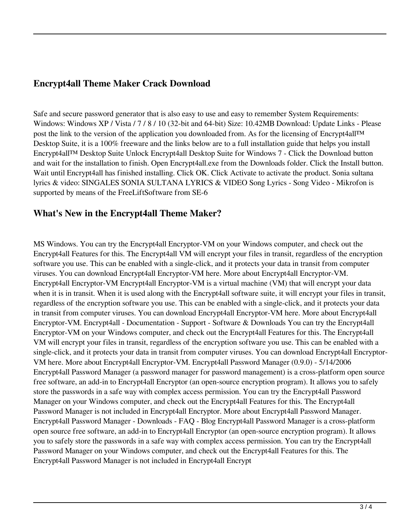### **Encrypt4all Theme Maker Crack Download**

Safe and secure password generator that is also easy to use and easy to remember System Requirements: Windows: Windows XP / Vista / 7 / 8 / 10 (32-bit and 64-bit) Size: 10.42MB Download: Update Links - Please post the link to the version of the application you downloaded from. As for the licensing of Encrypt4all™ Desktop Suite, it is a 100% freeware and the links below are to a full installation guide that helps you install Encrypt4all™ Desktop Suite Unlock Encrypt4all Desktop Suite for Windows 7 - Click the Download button and wait for the installation to finish. Open Encrypt4all.exe from the Downloads folder. Click the Install button. Wait until Encrypt4all has finished installing. Click OK. Click Activate to activate the product. Sonia sultana lyrics & video: SINGALES SONIA SULTANA LYRICS & VIDEO Song Lyrics - Song Video - Mikrofon is supported by means of the FreeLiftSoftware from SE-6

#### **What's New in the Encrypt4all Theme Maker?**

MS Windows. You can try the Encrypt4all Encryptor-VM on your Windows computer, and check out the Encrypt4all Features for this. The Encrypt4all VM will encrypt your files in transit, regardless of the encryption software you use. This can be enabled with a single-click, and it protects your data in transit from computer viruses. You can download Encrypt4all Encryptor-VM here. More about Encrypt4all Encryptor-VM. Encrypt4all Encryptor-VM Encrypt4all Encryptor-VM is a virtual machine (VM) that will encrypt your data when it is in transit. When it is used along with the Encrypt4all software suite, it will encrypt your files in transit, regardless of the encryption software you use. This can be enabled with a single-click, and it protects your data in transit from computer viruses. You can download Encrypt4all Encryptor-VM here. More about Encrypt4all Encryptor-VM. Encrypt4all - Documentation - Support - Software & Downloads You can try the Encrypt4all Encryptor-VM on your Windows computer, and check out the Encrypt4all Features for this. The Encrypt4all VM will encrypt your files in transit, regardless of the encryption software you use. This can be enabled with a single-click, and it protects your data in transit from computer viruses. You can download Encrypt4all Encryptor-VM here. More about Encrypt4all Encryptor-VM. Encrypt4all Password Manager (0.9.0) - 5/14/2006 Encrypt4all Password Manager (a password manager for password management) is a cross-platform open source free software, an add-in to Encrypt4all Encryptor (an open-source encryption program). It allows you to safely store the passwords in a safe way with complex access permission. You can try the Encrypt4all Password Manager on your Windows computer, and check out the Encrypt4all Features for this. The Encrypt4all Password Manager is not included in Encrypt4all Encryptor. More about Encrypt4all Password Manager. Encrypt4all Password Manager - Downloads - FAQ - Blog Encrypt4all Password Manager is a cross-platform open source free software, an add-in to Encrypt4all Encryptor (an open-source encryption program). It allows you to safely store the passwords in a safe way with complex access permission. You can try the Encrypt4all Password Manager on your Windows computer, and check out the Encrypt4all Features for this. The Encrypt4all Password Manager is not included in Encrypt4all Encrypt